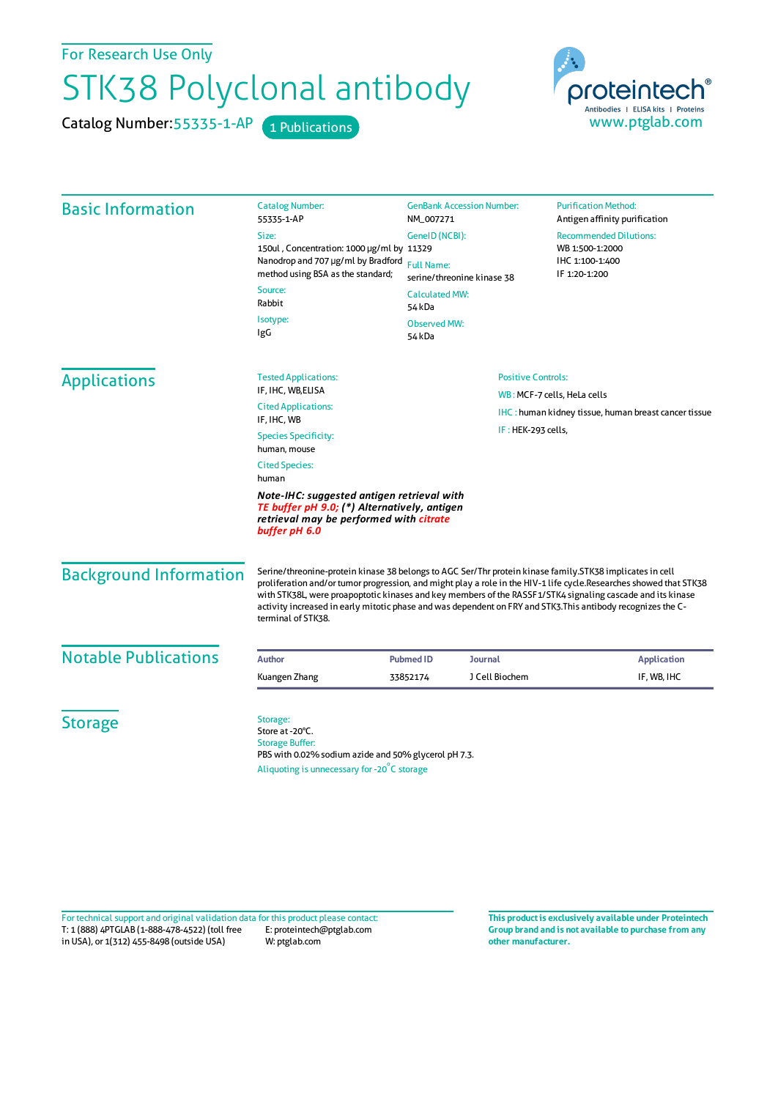For Research Use Only

## STK38 Polyclonal antibody

Catalog Number: 55335-1-AP 1 Publications



| <b>Basic Information</b>      | <b>Catalog Number:</b><br>55335-1-AP                                                                                                                                                                                                                                                                                                                                                                                                                                               | <b>GenBank Accession Number:</b><br>NM_007271                                                                                  |                | <b>Purification Method:</b><br>Antigen affinity purification                         |  |
|-------------------------------|------------------------------------------------------------------------------------------------------------------------------------------------------------------------------------------------------------------------------------------------------------------------------------------------------------------------------------------------------------------------------------------------------------------------------------------------------------------------------------|--------------------------------------------------------------------------------------------------------------------------------|----------------|--------------------------------------------------------------------------------------|--|
|                               | Size:                                                                                                                                                                                                                                                                                                                                                                                                                                                                              | GenelD (NCBI):<br><b>Full Name:</b><br>serine/threonine kinase 38<br><b>Calculated MW:</b><br>54 kDa<br>Observed MW:<br>54 kDa |                | <b>Recommended Dilutions:</b><br>WB 1:500-1:2000<br>IHC 1:100-1:400<br>IF 1:20-1:200 |  |
|                               | 150ul, Concentration: 1000 µg/ml by 11329<br>Nanodrop and 707 µg/ml by Bradford<br>method using BSA as the standard;                                                                                                                                                                                                                                                                                                                                                               |                                                                                                                                |                |                                                                                      |  |
|                               | Source:<br>Rabbit                                                                                                                                                                                                                                                                                                                                                                                                                                                                  |                                                                                                                                |                |                                                                                      |  |
|                               | Isotype:<br>IgG                                                                                                                                                                                                                                                                                                                                                                                                                                                                    |                                                                                                                                |                |                                                                                      |  |
| <b>Applications</b>           | <b>Tested Applications:</b><br>IF, IHC, WB, ELISA                                                                                                                                                                                                                                                                                                                                                                                                                                  | <b>Positive Controls:</b>                                                                                                      |                |                                                                                      |  |
|                               | <b>Cited Applications:</b>                                                                                                                                                                                                                                                                                                                                                                                                                                                         |                                                                                                                                |                | WB: MCF-7 cells, HeLa cells                                                          |  |
|                               | IF, IHC, WB                                                                                                                                                                                                                                                                                                                                                                                                                                                                        |                                                                                                                                |                | <b>IHC</b> : human kidney tissue, human breast cancer tissue                         |  |
|                               | <b>Species Specificity:</b><br>human, mouse                                                                                                                                                                                                                                                                                                                                                                                                                                        | IF: HEK-293 cells,                                                                                                             |                |                                                                                      |  |
|                               | <b>Cited Species:</b><br>human                                                                                                                                                                                                                                                                                                                                                                                                                                                     |                                                                                                                                |                |                                                                                      |  |
|                               | Note-IHC: suggested antigen retrieval with<br>TE buffer pH 9.0; (*) Alternatively, antigen<br>retrieval may be performed with citrate<br>buffer pH 6.0                                                                                                                                                                                                                                                                                                                             |                                                                                                                                |                |                                                                                      |  |
| <b>Background Information</b> | Serine/threonine-protein kinase 38 belongs to AGC Ser/Thr protein kinase family.STK38 implicates in cell<br>proliferation and/or tumor progression, and might play a role in the HIV-1 life cycle.Researches showed that STK38<br>with STK38L, were proapoptotic kinases and key members of the RASSF1/STK4 signaling cascade and its kinase<br>activity increased in early mitotic phase and was dependent on FRY and STK3. This antibody recognizes the C-<br>terminal of STK38. |                                                                                                                                |                |                                                                                      |  |
| <b>Notable Publications</b>   | <b>Author</b>                                                                                                                                                                                                                                                                                                                                                                                                                                                                      | <b>Pubmed ID</b><br>Journal                                                                                                    |                | <b>Application</b>                                                                   |  |
|                               | Kuangen Zhang                                                                                                                                                                                                                                                                                                                                                                                                                                                                      | 33852174                                                                                                                       | J Cell Biochem | IF, WB, IHC                                                                          |  |
| <b>Storage</b>                | Storage:<br>Store at -20°C.<br><b>Storage Buffer:</b><br>PBS with 0.02% sodium azide and 50% glycerol pH 7.3.<br>Aliquoting is unnecessary for -20°C storage                                                                                                                                                                                                                                                                                                                       |                                                                                                                                |                |                                                                                      |  |

T: 1 (888) 4PTGLAB (1-888-478-4522) (toll free in USA), or 1(312) 455-8498 (outside USA) E: proteintech@ptglab.com W: ptglab.com Fortechnical support and original validation data forthis product please contact: **This productis exclusively available under Proteintech**

**Group brand and is not available to purchase from any other manufacturer.**